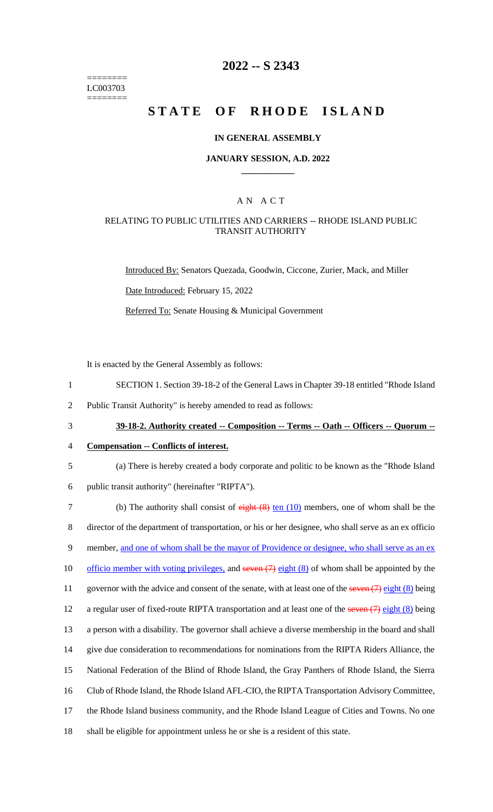======== LC003703 ========

# **2022 -- S 2343**

# **STATE OF RHODE ISLAND**

#### **IN GENERAL ASSEMBLY**

#### **JANUARY SESSION, A.D. 2022 \_\_\_\_\_\_\_\_\_\_\_\_**

### A N A C T

#### RELATING TO PUBLIC UTILITIES AND CARRIERS -- RHODE ISLAND PUBLIC TRANSIT AUTHORITY

Introduced By: Senators Quezada, Goodwin, Ciccone, Zurier, Mack, and Miller Date Introduced: February 15, 2022 Referred To: Senate Housing & Municipal Government

It is enacted by the General Assembly as follows:

- 1 SECTION 1. Section 39-18-2 of the General Laws in Chapter 39-18 entitled "Rhode Island
- 2 Public Transit Authority" is hereby amended to read as follows:
- 

# 3 **39-18-2. Authority created -- Composition -- Terms -- Oath -- Officers -- Quorum --**

#### 4 **Compensation -- Conflicts of interest.**

- 5 (a) There is hereby created a body corporate and politic to be known as the "Rhode Island 6 public transit authority" (hereinafter "RIPTA").
- 7 (b) The authority shall consist of eight (8) ten (10) members, one of whom shall be the 8 director of the department of transportation, or his or her designee, who shall serve as an ex officio 9 member, and one of whom shall be the mayor of Providence or designee, who shall serve as an ex 10 officio member with voting privileges, and seven (7) eight (8) of whom shall be appointed by the 11 governor with the advice and consent of the senate, with at least one of the seven (7) eight (8) being 12 a regular user of fixed-route RIPTA transportation and at least one of the seven (7) eight (8) being 13 a person with a disability. The governor shall achieve a diverse membership in the board and shall 14 give due consideration to recommendations for nominations from the RIPTA Riders Alliance, the 15 National Federation of the Blind of Rhode Island, the Gray Panthers of Rhode Island, the Sierra 16 Club of Rhode Island, the Rhode Island AFL-CIO, the RIPTA Transportation Advisory Committee, 17 the Rhode Island business community, and the Rhode Island League of Cities and Towns. No one 18 shall be eligible for appointment unless he or she is a resident of this state.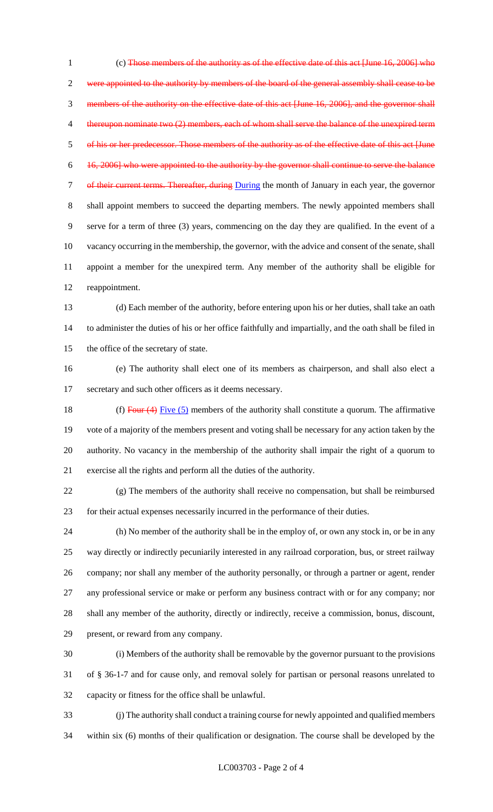(c) Those members of the authority as of the effective date of this act [June 16, 2006] who were appointed to the authority by members of the board of the general assembly shall cease to be members of the authority on the effective date of this act [June 16, 2006], and the governor shall 4 thereupon nominate two (2) members, each of whom shall serve the balance of the unexpired term of his or her predecessor. Those members of the authority as of the effective date of this act [June 16, 2006] who were appointed to the authority by the governor shall continue to serve the balance 7 of their current terms. Thereafter, during During the month of January in each year, the governor shall appoint members to succeed the departing members. The newly appointed members shall serve for a term of three (3) years, commencing on the day they are qualified. In the event of a vacancy occurring in the membership, the governor, with the advice and consent of the senate, shall appoint a member for the unexpired term. Any member of the authority shall be eligible for reappointment. (d) Each member of the authority, before entering upon his or her duties, shall take an oath to administer the duties of his or her office faithfully and impartially, and the oath shall be filed in the office of the secretary of state. (e) The authority shall elect one of its members as chairperson, and shall also elect a

secretary and such other officers as it deems necessary.

18 (f) Four  $(4)$  Five  $(5)$  members of the authority shall constitute a quorum. The affirmative vote of a majority of the members present and voting shall be necessary for any action taken by the authority. No vacancy in the membership of the authority shall impair the right of a quorum to exercise all the rights and perform all the duties of the authority.

 (g) The members of the authority shall receive no compensation, but shall be reimbursed for their actual expenses necessarily incurred in the performance of their duties.

 (h) No member of the authority shall be in the employ of, or own any stock in, or be in any way directly or indirectly pecuniarily interested in any railroad corporation, bus, or street railway company; nor shall any member of the authority personally, or through a partner or agent, render any professional service or make or perform any business contract with or for any company; nor shall any member of the authority, directly or indirectly, receive a commission, bonus, discount, present, or reward from any company.

 (i) Members of the authority shall be removable by the governor pursuant to the provisions of § 36-1-7 and for cause only, and removal solely for partisan or personal reasons unrelated to capacity or fitness for the office shall be unlawful.

 (j) The authority shall conduct a training course for newly appointed and qualified members within six (6) months of their qualification or designation. The course shall be developed by the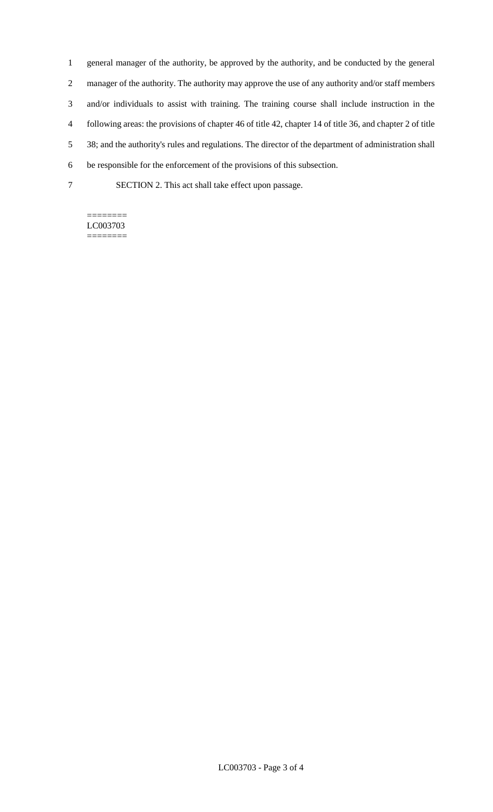general manager of the authority, be approved by the authority, and be conducted by the general manager of the authority. The authority may approve the use of any authority and/or staff members and/or individuals to assist with training. The training course shall include instruction in the following areas: the provisions of chapter 46 of title 42, chapter 14 of title 36, and chapter 2 of title 38; and the authority's rules and regulations. The director of the department of administration shall be responsible for the enforcement of the provisions of this subsection. SECTION 2. This act shall take effect upon passage.

#### ======== LC003703 ========